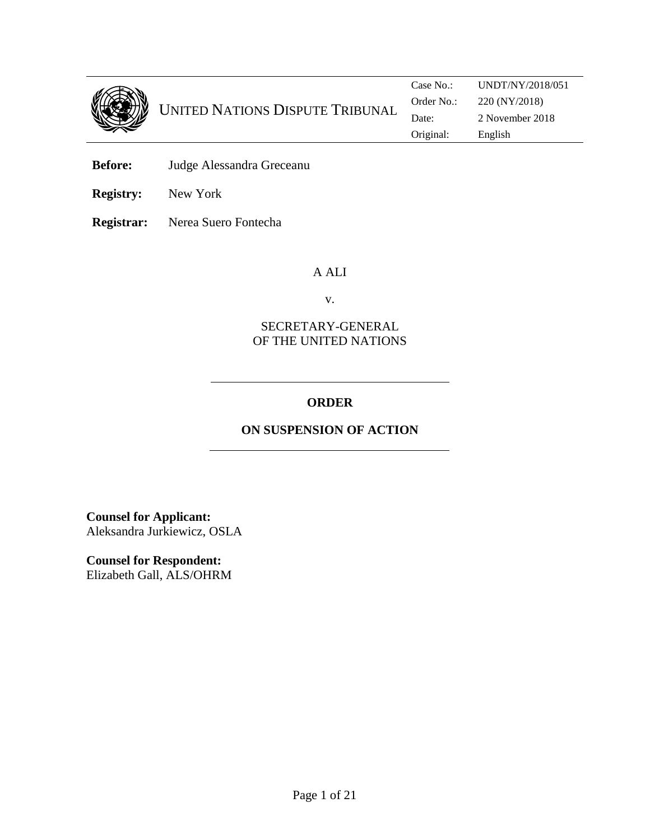

**Before:** Judge Alessandra Greceanu

**Registry:** New York

**Registrar:** Nerea Suero Fontecha

### A ALI

v.

### SECRETARY-GENERAL OF THE UNITED NATIONS

## **ORDER**

# **ON SUSPENSION OF ACTION**

**Counsel for Applicant:**  Aleksandra Jurkiewicz, OSLA

**Counsel for Respondent:**  Elizabeth Gall, ALS/OHRM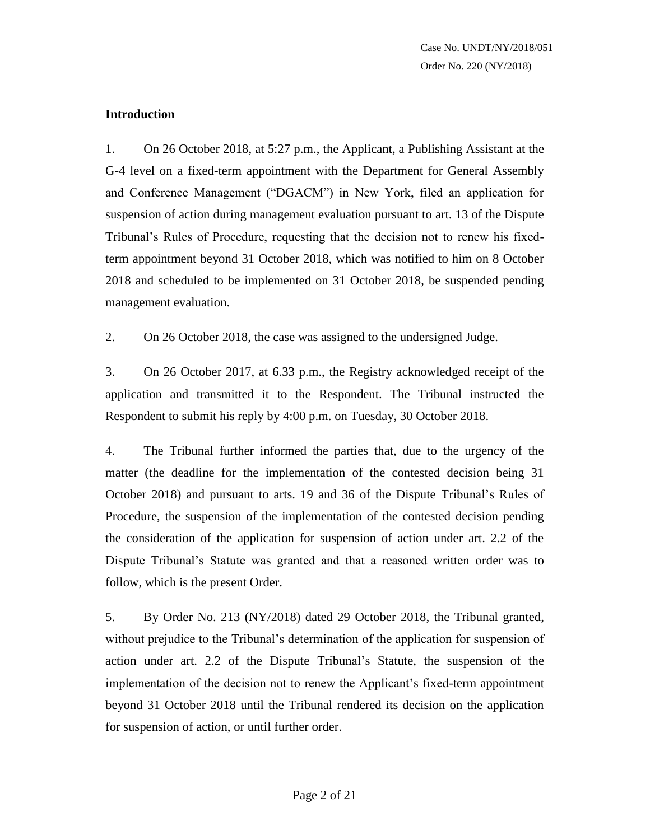### **Introduction**

1. On 26 October 2018, at 5:27 p.m., the Applicant, a Publishing Assistant at the G-4 level on a fixed-term appointment with the Department for General Assembly and Conference Management ("DGACM") in New York, filed an application for suspension of action during management evaluation pursuant to art. 13 of the Dispute Tribunal's Rules of Procedure, requesting that the decision not to renew his fixedterm appointment beyond 31 October 2018, which was notified to him on 8 October 2018 and scheduled to be implemented on 31 October 2018, be suspended pending management evaluation.

2. On 26 October 2018, the case was assigned to the undersigned Judge.

3. On 26 October 2017, at 6.33 p.m., the Registry acknowledged receipt of the application and transmitted it to the Respondent. The Tribunal instructed the Respondent to submit his reply by 4:00 p.m. on Tuesday, 30 October 2018.

4. The Tribunal further informed the parties that, due to the urgency of the matter (the deadline for the implementation of the contested decision being 31 October 2018) and pursuant to arts. 19 and 36 of the Dispute Tribunal's Rules of Procedure, the suspension of the implementation of the contested decision pending the consideration of the application for suspension of action under art. 2.2 of the Dispute Tribunal's Statute was granted and that a reasoned written order was to follow, which is the present Order.

5. By Order No. 213 (NY/2018) dated 29 October 2018, the Tribunal granted, without prejudice to the Tribunal's determination of the application for suspension of action under art. 2.2 of the Dispute Tribunal's Statute, the suspension of the implementation of the decision not to renew the Applicant's fixed-term appointment beyond 31 October 2018 until the Tribunal rendered its decision on the application for suspension of action, or until further order.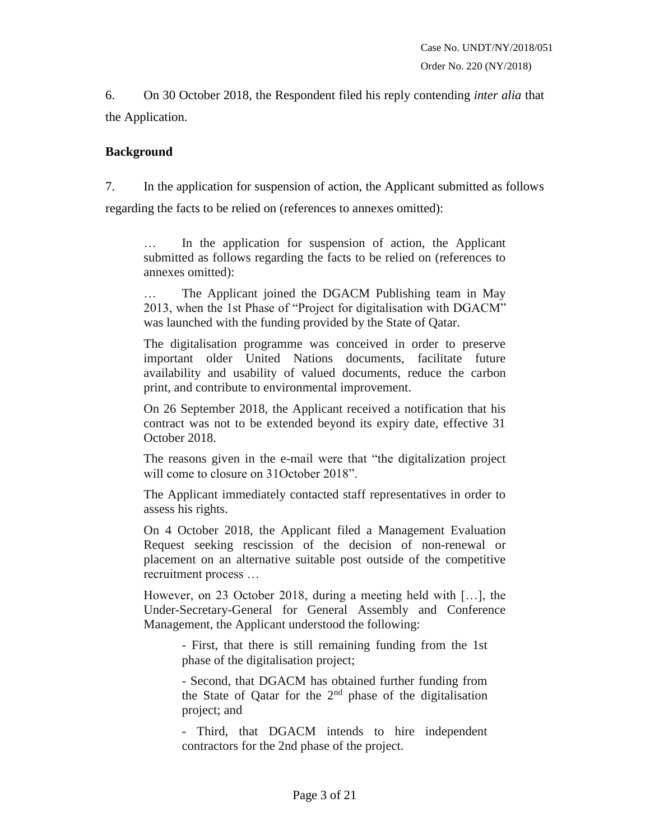6. On 30 October 2018, the Respondent filed his reply contending *inter alia* that the Application.

### **Background**

7. In the application for suspension of action, the Applicant submitted as follows regarding the facts to be relied on (references to annexes omitted):

In the application for suspension of action, the Applicant submitted as follows regarding the facts to be relied on (references to annexes omitted):

The Applicant joined the DGACM Publishing team in May 2013, when the 1st Phase of "Project for digitalisation with DGACM" was launched with the funding provided by the State of Qatar.

The digitalisation programme was conceived in order to preserve important older United Nations documents, facilitate future availability and usability of valued documents, reduce the carbon print, and contribute to environmental improvement.

On 26 September 2018, the Applicant received a notification that his contract was not to be extended beyond its expiry date, effective 31 October 2018.

The reasons given in the e-mail were that "the digitalization project will come to closure on 31October 2018".

The Applicant immediately contacted staff representatives in order to assess his rights.

On 4 October 2018, the Applicant filed a Management Evaluation Request seeking rescission of the decision of non-renewal or placement on an alternative suitable post outside of the competitive recruitment process …

However, on 23 October 2018, during a meeting held with […], the Under-Secretary-General for General Assembly and Conference Management, the Applicant understood the following:

> - First, that there is still remaining funding from the 1st phase of the digitalisation project;

> - Second, that DGACM has obtained further funding from the State of Qatar for the  $2<sup>nd</sup>$  phase of the digitalisation project; and

> - Third, that DGACM intends to hire independent contractors for the 2nd phase of the project.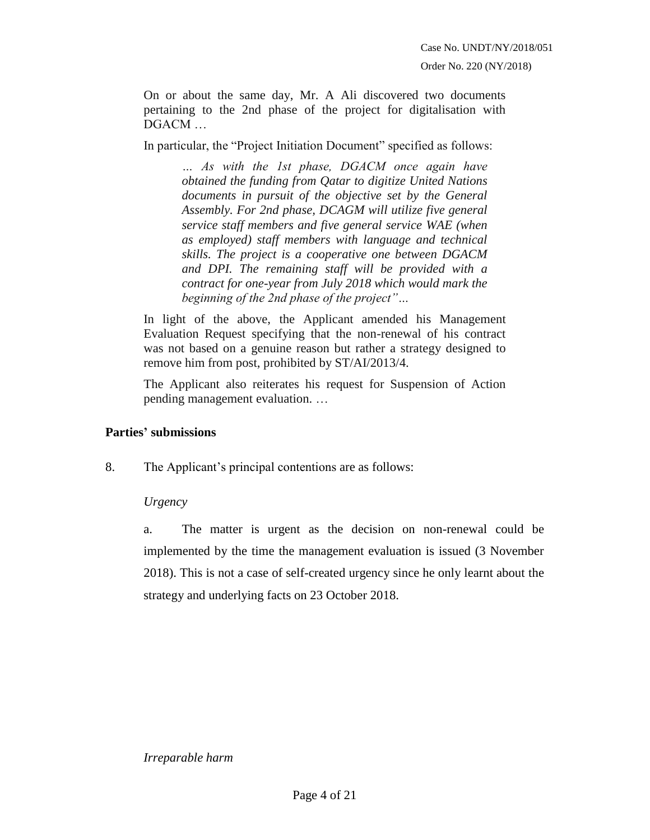Order No. 220 (NY/2018)

On or about the same day, Mr. A Ali discovered two documents pertaining to the 2nd phase of the project for digitalisation with DGACM …

In particular, the "Project Initiation Document" specified as follows:

*… As with the 1st phase, DGACM once again have obtained the funding from Qatar to digitize United Nations documents in pursuit of the objective set by the General Assembly. For 2nd phase, DCAGM will utilize five general service staff members and five general service WAE (when as employed) staff members with language and technical skills. The project is a cooperative one between DGACM and DPI. The remaining staff will be provided with a contract for one-year from July 2018 which would mark the beginning of the 2nd phase of the project"…*

In light of the above, the Applicant amended his Management Evaluation Request specifying that the non-renewal of his contract was not based on a genuine reason but rather a strategy designed to remove him from post, prohibited by ST/AI/2013/4.

The Applicant also reiterates his request for Suspension of Action pending management evaluation. …

### **Parties' submissions**

8. The Applicant's principal contentions are as follows:

### *Urgency*

a. The matter is urgent as the decision on non-renewal could be implemented by the time the management evaluation is issued (3 November 2018). This is not a case of self-created urgency since he only learnt about the strategy and underlying facts on 23 October 2018.

*Irreparable harm*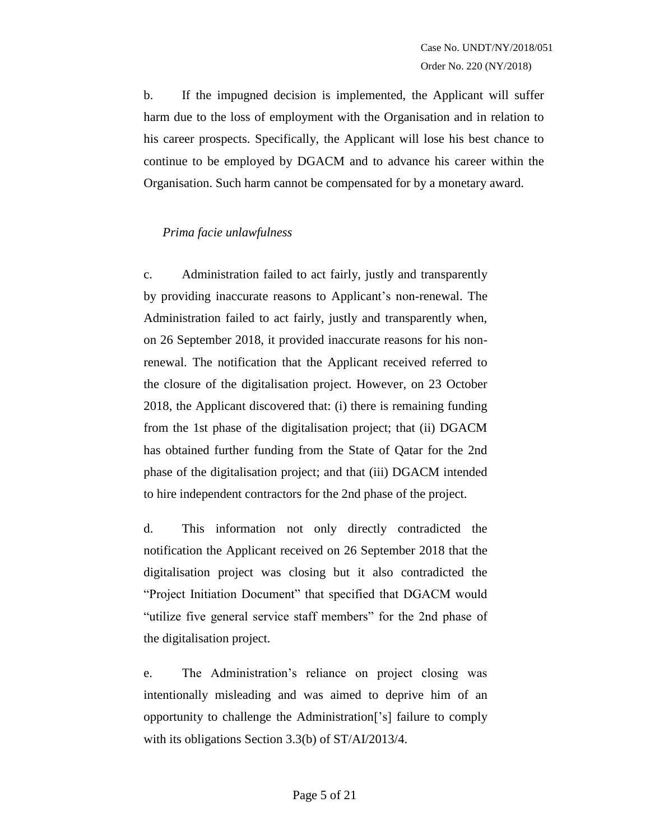b. If the impugned decision is implemented, the Applicant will suffer harm due to the loss of employment with the Organisation and in relation to his career prospects. Specifically, the Applicant will lose his best chance to continue to be employed by DGACM and to advance his career within the Organisation. Such harm cannot be compensated for by a monetary award.

### *Prima facie unlawfulness*

c. Administration failed to act fairly, justly and transparently by providing inaccurate reasons to Applicant's non-renewal. The Administration failed to act fairly, justly and transparently when, on 26 September 2018, it provided inaccurate reasons for his nonrenewal. The notification that the Applicant received referred to the closure of the digitalisation project. However, on 23 October 2018, the Applicant discovered that: (i) there is remaining funding from the 1st phase of the digitalisation project; that (ii) DGACM has obtained further funding from the State of Qatar for the 2nd phase of the digitalisation project; and that (iii) DGACM intended to hire independent contractors for the 2nd phase of the project.

d. This information not only directly contradicted the notification the Applicant received on 26 September 2018 that the digitalisation project was closing but it also contradicted the "Project Initiation Document" that specified that DGACM would "utilize five general service staff members" for the 2nd phase of the digitalisation project.

e. The Administration's reliance on project closing was intentionally misleading and was aimed to deprive him of an opportunity to challenge the Administration['s] failure to comply with its obligations Section 3.3(b) of ST/AI/2013/4.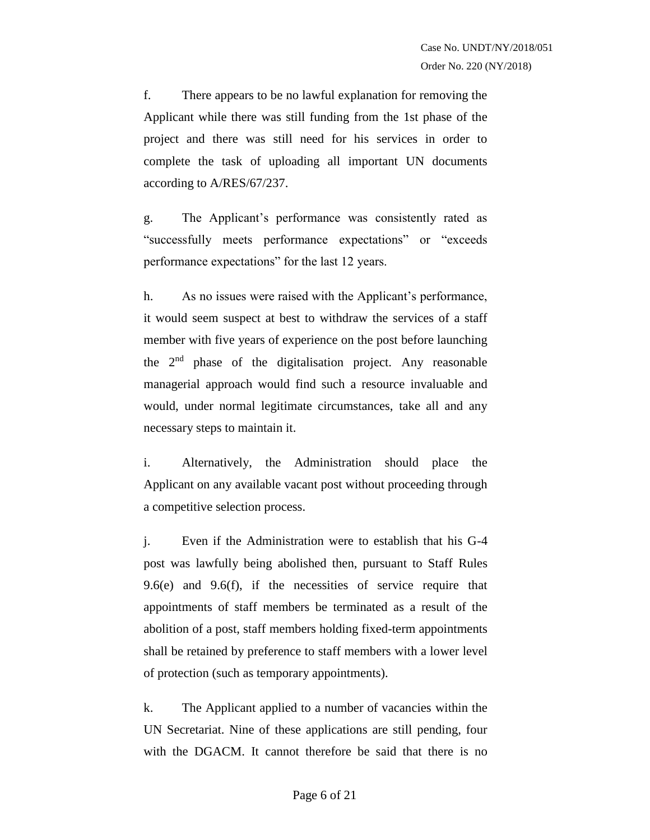f. There appears to be no lawful explanation for removing the Applicant while there was still funding from the 1st phase of the project and there was still need for his services in order to complete the task of uploading all important UN documents according to A/RES/67/237.

g. The Applicant's performance was consistently rated as "successfully meets performance expectations" or "exceeds performance expectations" for the last 12 years.

h. As no issues were raised with the Applicant's performance, it would seem suspect at best to withdraw the services of a staff member with five years of experience on the post before launching the 2nd phase of the digitalisation project. Any reasonable managerial approach would find such a resource invaluable and would, under normal legitimate circumstances, take all and any necessary steps to maintain it.

i. Alternatively, the Administration should place the Applicant on any available vacant post without proceeding through a competitive selection process.

j. Even if the Administration were to establish that his G-4 post was lawfully being abolished then, pursuant to Staff Rules 9.6(e) and 9.6(f), if the necessities of service require that appointments of staff members be terminated as a result of the abolition of a post, staff members holding fixed-term appointments shall be retained by preference to staff members with a lower level of protection (such as temporary appointments).

k. The Applicant applied to a number of vacancies within the UN Secretariat. Nine of these applications are still pending, four with the DGACM. It cannot therefore be said that there is no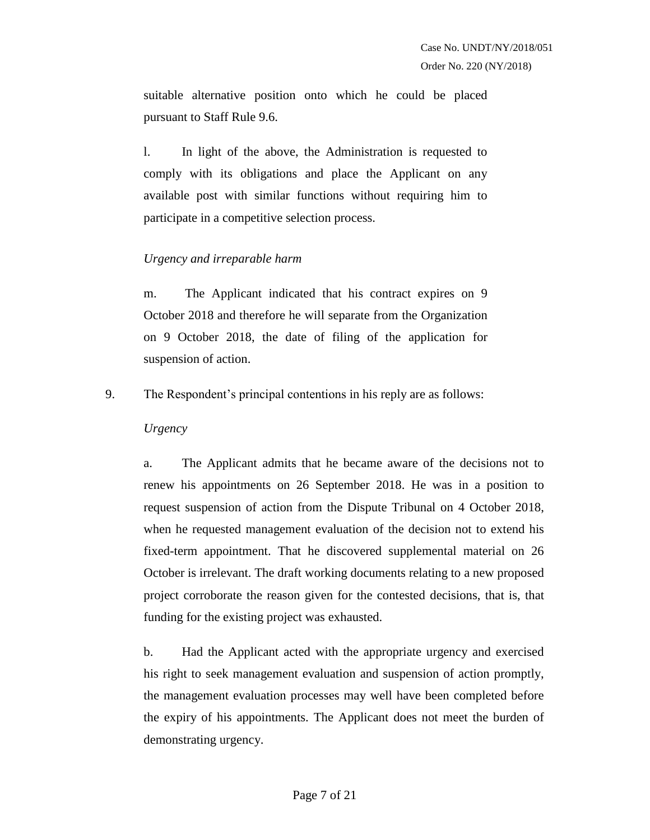suitable alternative position onto which he could be placed pursuant to Staff Rule 9.6.

l. In light of the above, the Administration is requested to comply with its obligations and place the Applicant on any available post with similar functions without requiring him to participate in a competitive selection process.

### *Urgency and irreparable harm*

m. The Applicant indicated that his contract expires on 9 October 2018 and therefore he will separate from the Organization on 9 October 2018, the date of filing of the application for suspension of action.

9. The Respondent's principal contentions in his reply are as follows:

### *Urgency*

a. The Applicant admits that he became aware of the decisions not to renew his appointments on 26 September 2018. He was in a position to request suspension of action from the Dispute Tribunal on 4 October 2018, when he requested management evaluation of the decision not to extend his fixed-term appointment. That he discovered supplemental material on 26 October is irrelevant. The draft working documents relating to a new proposed project corroborate the reason given for the contested decisions, that is, that funding for the existing project was exhausted.

b. Had the Applicant acted with the appropriate urgency and exercised his right to seek management evaluation and suspension of action promptly, the management evaluation processes may well have been completed before the expiry of his appointments. The Applicant does not meet the burden of demonstrating urgency.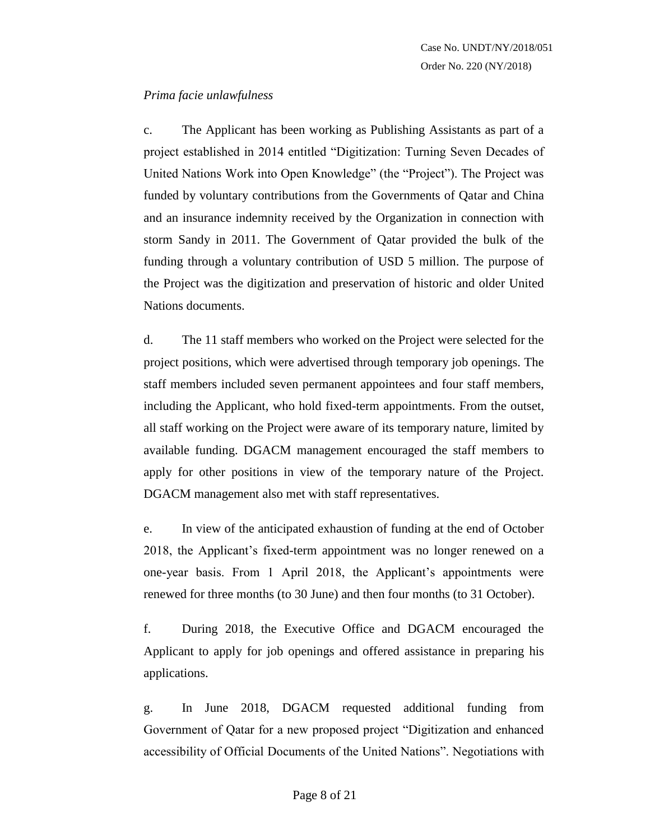### *Prima facie unlawfulness*

c. The Applicant has been working as Publishing Assistants as part of a project established in 2014 entitled "Digitization: Turning Seven Decades of United Nations Work into Open Knowledge" (the "Project"). The Project was funded by voluntary contributions from the Governments of Qatar and China and an insurance indemnity received by the Organization in connection with storm Sandy in 2011. The Government of Qatar provided the bulk of the funding through a voluntary contribution of USD 5 million. The purpose of the Project was the digitization and preservation of historic and older United Nations documents.

d. The 11 staff members who worked on the Project were selected for the project positions, which were advertised through temporary job openings. The staff members included seven permanent appointees and four staff members, including the Applicant, who hold fixed-term appointments. From the outset, all staff working on the Project were aware of its temporary nature, limited by available funding. DGACM management encouraged the staff members to apply for other positions in view of the temporary nature of the Project. DGACM management also met with staff representatives.

e. In view of the anticipated exhaustion of funding at the end of October 2018, the Applicant's fixed-term appointment was no longer renewed on a one-year basis. From 1 April 2018, the Applicant's appointments were renewed for three months (to 30 June) and then four months (to 31 October).

f. During 2018, the Executive Office and DGACM encouraged the Applicant to apply for job openings and offered assistance in preparing his applications.

g. In June 2018, DGACM requested additional funding from Government of Qatar for a new proposed project "Digitization and enhanced accessibility of Official Documents of the United Nations". Negotiations with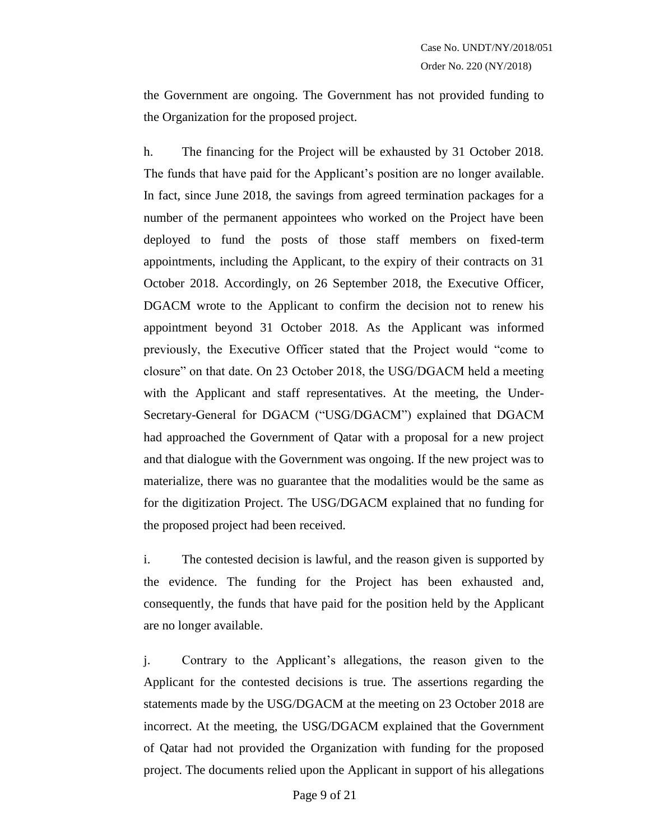the Government are ongoing. The Government has not provided funding to the Organization for the proposed project.

h. The financing for the Project will be exhausted by 31 October 2018. The funds that have paid for the Applicant's position are no longer available. In fact, since June 2018, the savings from agreed termination packages for a number of the permanent appointees who worked on the Project have been deployed to fund the posts of those staff members on fixed-term appointments, including the Applicant, to the expiry of their contracts on 31 October 2018. Accordingly, on 26 September 2018, the Executive Officer, DGACM wrote to the Applicant to confirm the decision not to renew his appointment beyond 31 October 2018. As the Applicant was informed previously, the Executive Officer stated that the Project would "come to closure" on that date. On 23 October 2018, the USG/DGACM held a meeting with the Applicant and staff representatives. At the meeting, the Under-Secretary-General for DGACM ("USG/DGACM") explained that DGACM had approached the Government of Qatar with a proposal for a new project and that dialogue with the Government was ongoing. If the new project was to materialize, there was no guarantee that the modalities would be the same as for the digitization Project. The USG/DGACM explained that no funding for the proposed project had been received.

i. The contested decision is lawful, and the reason given is supported by the evidence. The funding for the Project has been exhausted and, consequently, the funds that have paid for the position held by the Applicant are no longer available.

j. Contrary to the Applicant's allegations, the reason given to the Applicant for the contested decisions is true. The assertions regarding the statements made by the USG/DGACM at the meeting on 23 October 2018 are incorrect. At the meeting, the USG/DGACM explained that the Government of Qatar had not provided the Organization with funding for the proposed project. The documents relied upon the Applicant in support of his allegations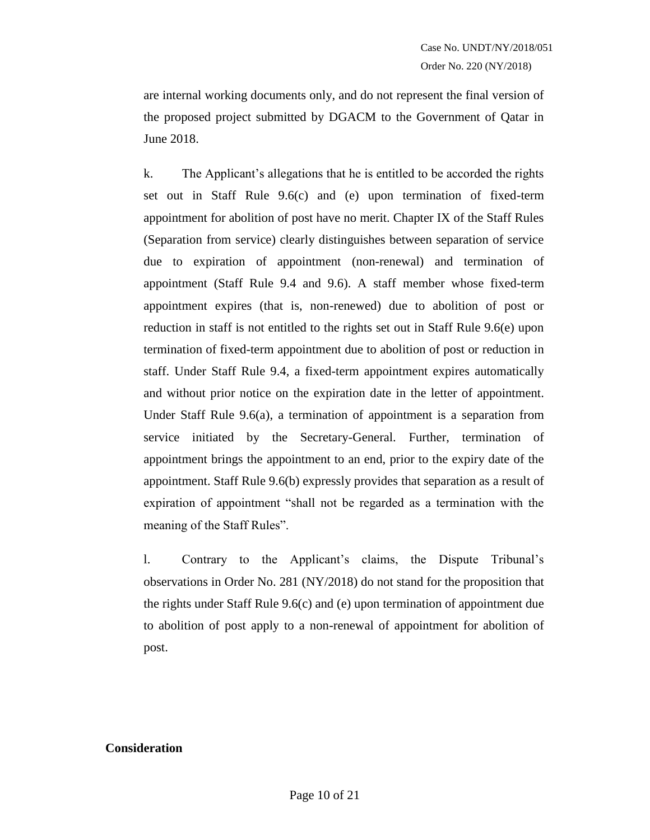are internal working documents only, and do not represent the final version of the proposed project submitted by DGACM to the Government of Qatar in June 2018.

k. The Applicant's allegations that he is entitled to be accorded the rights set out in Staff Rule 9.6(c) and (e) upon termination of fixed-term appointment for abolition of post have no merit. Chapter IX of the Staff Rules (Separation from service) clearly distinguishes between separation of service due to expiration of appointment (non-renewal) and termination of appointment (Staff Rule 9.4 and 9.6). A staff member whose fixed-term appointment expires (that is, non-renewed) due to abolition of post or reduction in staff is not entitled to the rights set out in Staff Rule 9.6(e) upon termination of fixed-term appointment due to abolition of post or reduction in staff. Under Staff Rule 9.4, a fixed-term appointment expires automatically and without prior notice on the expiration date in the letter of appointment. Under Staff Rule 9.6(a), a termination of appointment is a separation from service initiated by the Secretary-General. Further, termination of appointment brings the appointment to an end, prior to the expiry date of the appointment. Staff Rule 9.6(b) expressly provides that separation as a result of expiration of appointment "shall not be regarded as a termination with the meaning of the Staff Rules".

l. Contrary to the Applicant's claims, the Dispute Tribunal's observations in Order No. 281 (NY/2018) do not stand for the proposition that the rights under Staff Rule 9.6(c) and (e) upon termination of appointment due to abolition of post apply to a non-renewal of appointment for abolition of post.

#### **Consideration**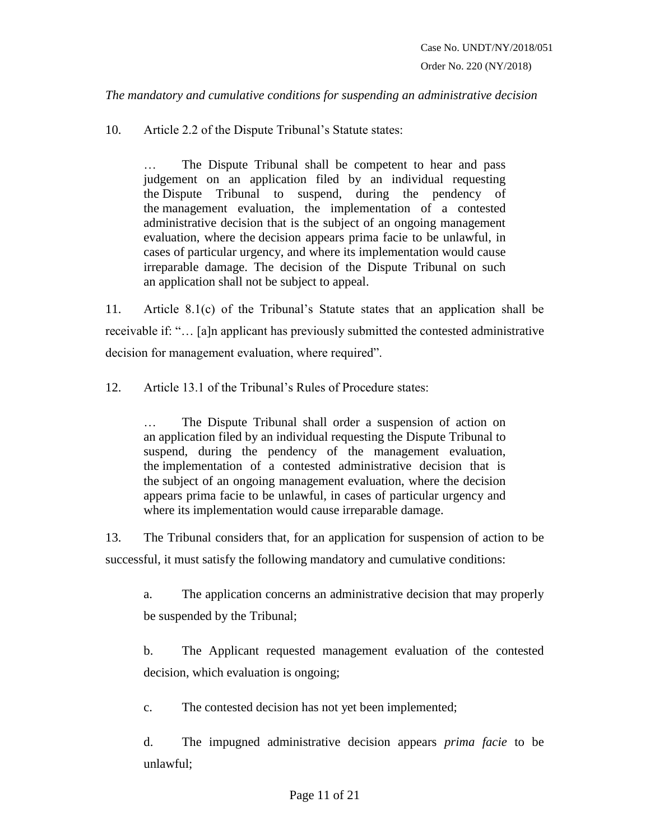*The mandatory and cumulative conditions for suspending an administrative decision*

10. Article 2.2 of the Dispute Tribunal's Statute states:

… The Dispute Tribunal shall be competent to hear and pass judgement on an application filed by an individual requesting the Dispute Tribunal to suspend, during the pendency of the management evaluation, the implementation of a contested administrative decision that is the subject of an ongoing management evaluation, where the decision appears prima facie to be unlawful, in cases of particular urgency, and where its implementation would cause irreparable damage. The decision of the Dispute Tribunal on such an application shall not be subject to appeal.

11. Article 8.1(c) of the Tribunal's Statute states that an application shall be receivable if: "… [a]n applicant has previously submitted the contested administrative decision for management evaluation, where required".

12. Article 13.1 of the Tribunal's Rules of Procedure states:

… The Dispute Tribunal shall order a suspension of action on an application filed by an individual requesting the Dispute Tribunal to suspend, during the pendency of the management evaluation, the implementation of a contested administrative decision that is the subject of an ongoing management evaluation, where the decision appears prima facie to be unlawful, in cases of particular urgency and where its implementation would cause irreparable damage.

13. The Tribunal considers that, for an application for suspension of action to be successful, it must satisfy the following mandatory and cumulative conditions:

a. The application concerns an administrative decision that may properly be suspended by the Tribunal;

b. The Applicant requested management evaluation of the contested decision, which evaluation is ongoing;

c. The contested decision has not yet been implemented;

d. The impugned administrative decision appears *prima facie* to be unlawful;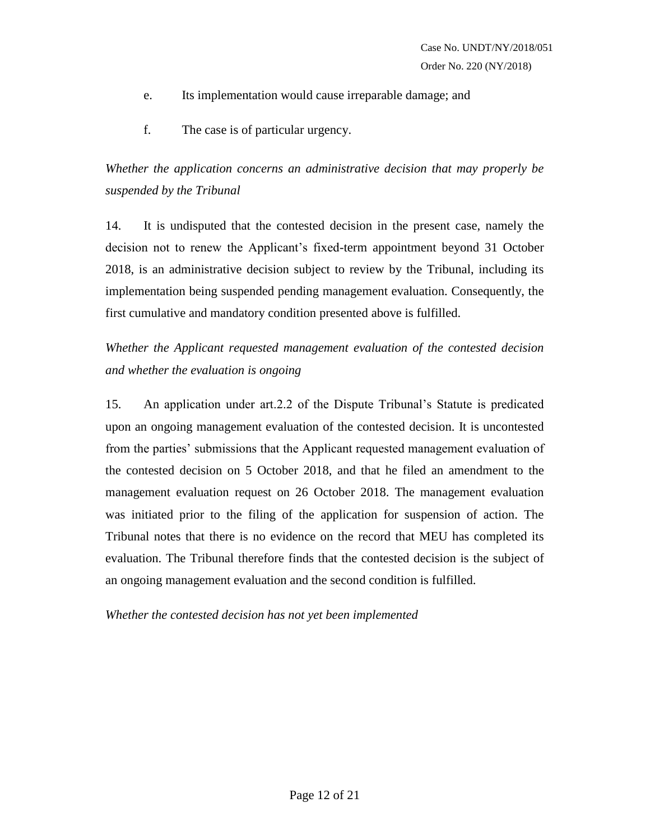- e. Its implementation would cause irreparable damage; and
- f. The case is of particular urgency.

*Whether the application concerns an administrative decision that may properly be suspended by the Tribunal*

14. It is undisputed that the contested decision in the present case, namely the decision not to renew the Applicant's fixed-term appointment beyond 31 October 2018, is an administrative decision subject to review by the Tribunal, including its implementation being suspended pending management evaluation. Consequently, the first cumulative and mandatory condition presented above is fulfilled.

# *Whether the Applicant requested management evaluation of the contested decision and whether the evaluation is ongoing*

15. An application under art.2.2 of the Dispute Tribunal's Statute is predicated upon an ongoing management evaluation of the contested decision. It is uncontested from the parties' submissions that the Applicant requested management evaluation of the contested decision on 5 October 2018, and that he filed an amendment to the management evaluation request on 26 October 2018. The management evaluation was initiated prior to the filing of the application for suspension of action. The Tribunal notes that there is no evidence on the record that MEU has completed its evaluation. The Tribunal therefore finds that the contested decision is the subject of an ongoing management evaluation and the second condition is fulfilled.

### *Whether the contested decision has not yet been implemented*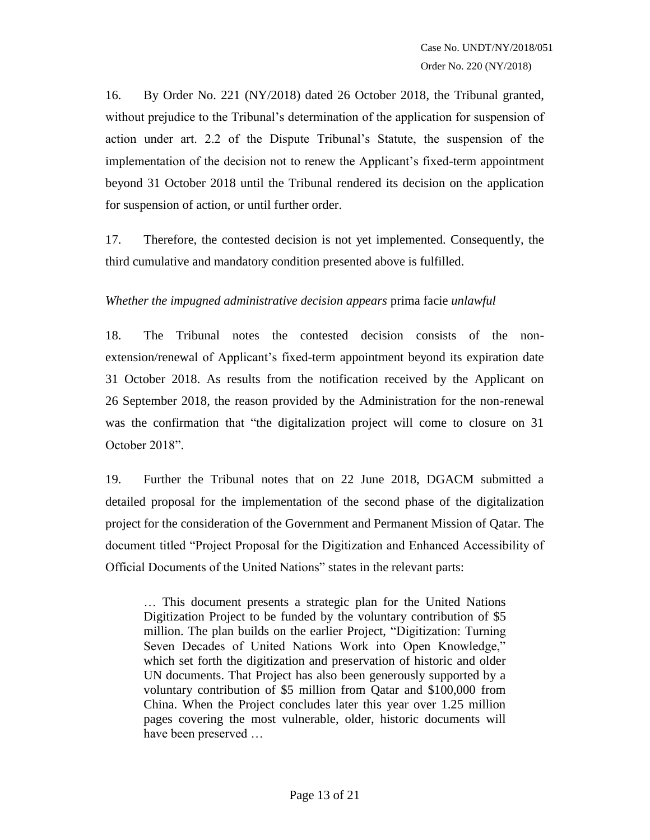16. By Order No. 221 (NY/2018) dated 26 October 2018, the Tribunal granted, without prejudice to the Tribunal's determination of the application for suspension of action under art. 2.2 of the Dispute Tribunal's Statute, the suspension of the implementation of the decision not to renew the Applicant's fixed-term appointment beyond 31 October 2018 until the Tribunal rendered its decision on the application for suspension of action, or until further order.

17. Therefore, the contested decision is not yet implemented. Consequently, the third cumulative and mandatory condition presented above is fulfilled.

### *Whether the impugned administrative decision appears* prima facie *unlawful*

18. The Tribunal notes the contested decision consists of the nonextension/renewal of Applicant's fixed-term appointment beyond its expiration date 31 October 2018. As results from the notification received by the Applicant on 26 September 2018, the reason provided by the Administration for the non-renewal was the confirmation that "the digitalization project will come to closure on 31 October 2018".

19. Further the Tribunal notes that on 22 June 2018, DGACM submitted a detailed proposal for the implementation of the second phase of the digitalization project for the consideration of the Government and Permanent Mission of Qatar. The document titled "Project Proposal for the Digitization and Enhanced Accessibility of Official Documents of the United Nations" states in the relevant parts:

… This document presents a strategic plan for the United Nations Digitization Project to be funded by the voluntary contribution of \$5 million. The plan builds on the earlier Project, "Digitization: Turning Seven Decades of United Nations Work into Open Knowledge," which set forth the digitization and preservation of historic and older UN documents. That Project has also been generously supported by a voluntary contribution of \$5 million from Qatar and \$100,000 from China. When the Project concludes later this year over 1.25 million pages covering the most vulnerable, older, historic documents will have been preserved …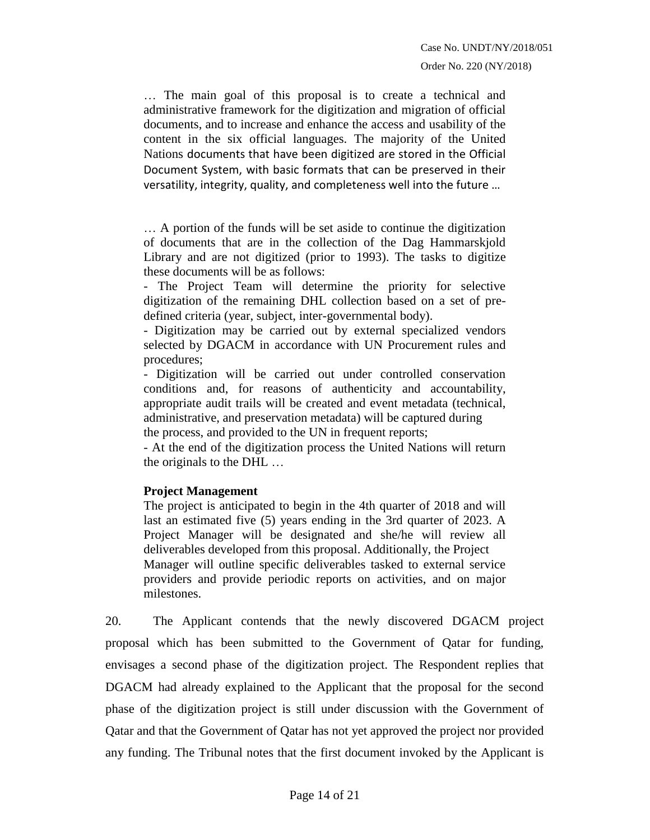Order No. 220 (NY/2018)

… The main goal of this proposal is to create a technical and administrative framework for the digitization and migration of official documents, and to increase and enhance the access and usability of the content in the six official languages. The majority of the United Nations documents that have been digitized are stored in the Official Document System, with basic formats that can be preserved in their versatility, integrity, quality, and completeness well into the future …

… A portion of the funds will be set aside to continue the digitization of documents that are in the collection of the Dag Hammarskjold Library and are not digitized (prior to 1993). The tasks to digitize these documents will be as follows:

- The Project Team will determine the priority for selective digitization of the remaining DHL collection based on a set of predefined criteria (year, subject, inter-governmental body).

- Digitization may be carried out by external specialized vendors selected by DGACM in accordance with UN Procurement rules and procedures;

- Digitization will be carried out under controlled conservation conditions and, for reasons of authenticity and accountability, appropriate audit trails will be created and event metadata (technical, administrative, and preservation metadata) will be captured during the process, and provided to the UN in frequent reports;

- At the end of the digitization process the United Nations will return the originals to the DHL …

#### **Project Management**

The project is anticipated to begin in the 4th quarter of 2018 and will last an estimated five (5) years ending in the 3rd quarter of 2023. A Project Manager will be designated and she/he will review all deliverables developed from this proposal. Additionally, the Project Manager will outline specific deliverables tasked to external service providers and provide periodic reports on activities, and on major milestones.

20. The Applicant contends that the newly discovered DGACM project proposal which has been submitted to the Government of Qatar for funding, envisages a second phase of the digitization project. The Respondent replies that DGACM had already explained to the Applicant that the proposal for the second phase of the digitization project is still under discussion with the Government of Qatar and that the Government of Qatar has not yet approved the project nor provided any funding. The Tribunal notes that the first document invoked by the Applicant is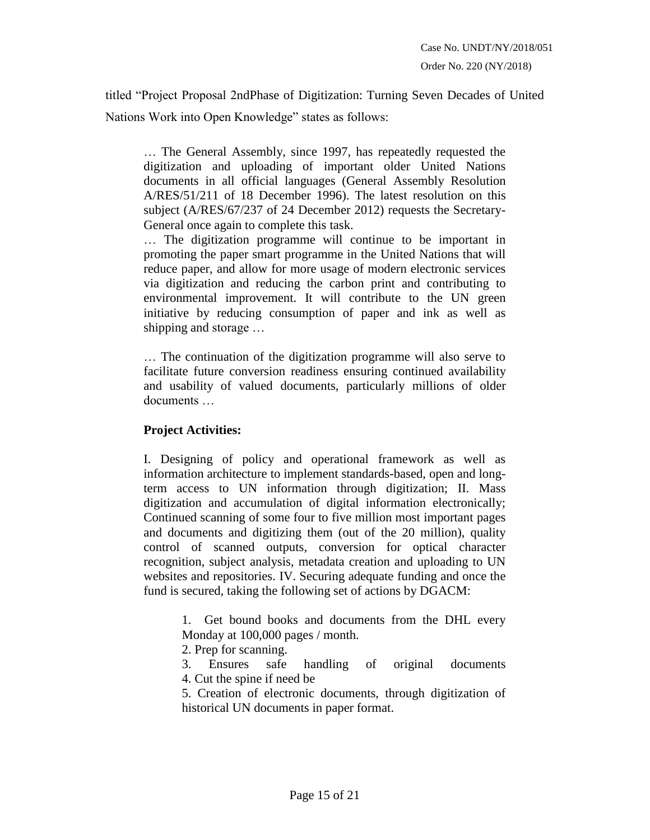titled "Project Proposal 2ndPhase of Digitization: Turning Seven Decades of United Nations Work into Open Knowledge" states as follows:

… The General Assembly, since 1997, has repeatedly requested the digitization and uploading of important older United Nations documents in all official languages (General Assembly Resolution A/RES/51/211 of 18 December 1996). The latest resolution on this subject (A/RES/67/237 of 24 December 2012) requests the Secretary-General once again to complete this task.

… The digitization programme will continue to be important in promoting the paper smart programme in the United Nations that will reduce paper, and allow for more usage of modern electronic services via digitization and reducing the carbon print and contributing to environmental improvement. It will contribute to the UN green initiative by reducing consumption of paper and ink as well as shipping and storage …

… The continuation of the digitization programme will also serve to facilitate future conversion readiness ensuring continued availability and usability of valued documents, particularly millions of older documents …

### **Project Activities:**

I. Designing of policy and operational framework as well as information architecture to implement standards-based, open and longterm access to UN information through digitization; II. Mass digitization and accumulation of digital information electronically; Continued scanning of some four to five million most important pages and documents and digitizing them (out of the 20 million), quality control of scanned outputs, conversion for optical character recognition, subject analysis, metadata creation and uploading to UN websites and repositories. IV. Securing adequate funding and once the fund is secured, taking the following set of actions by DGACM:

> 1. Get bound books and documents from the DHL every Monday at 100,000 pages / month.

2. Prep for scanning.

3. Ensures safe handling of original documents 4. Cut the spine if need be

5. Creation of electronic documents, through digitization of historical UN documents in paper format.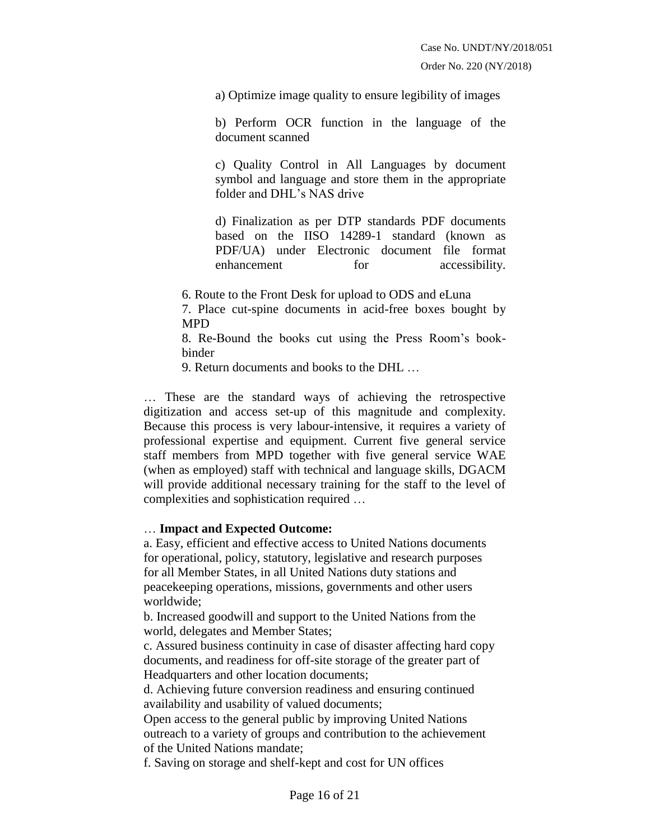a) Optimize image quality to ensure legibility of images

b) Perform OCR function in the language of the document scanned

c) Quality Control in All Languages by document symbol and language and store them in the appropriate folder and DHL's NAS drive

d) Finalization as per DTP standards PDF documents based on the IISO 14289-1 standard (known as PDF/UA) under Electronic document file format enhancement for accessibility.

6. Route to the Front Desk for upload to ODS and eLuna

7. Place cut-spine documents in acid-free boxes bought by MPD

8. Re-Bound the books cut using the Press Room's bookbinder

9. Return documents and books to the DHL …

… These are the standard ways of achieving the retrospective digitization and access set-up of this magnitude and complexity. Because this process is very labour-intensive, it requires a variety of professional expertise and equipment. Current five general service staff members from MPD together with five general service WAE (when as employed) staff with technical and language skills, DGACM will provide additional necessary training for the staff to the level of complexities and sophistication required …

#### … **Impact and Expected Outcome:**

a. Easy, efficient and effective access to United Nations documents for operational, policy, statutory, legislative and research purposes for all Member States, in all United Nations duty stations and peacekeeping operations, missions, governments and other users worldwide;

b. Increased goodwill and support to the United Nations from the world, delegates and Member States;

c. Assured business continuity in case of disaster affecting hard copy documents, and readiness for off-site storage of the greater part of Headquarters and other location documents;

d. Achieving future conversion readiness and ensuring continued availability and usability of valued documents;

Open access to the general public by improving United Nations outreach to a variety of groups and contribution to the achievement of the United Nations mandate;

f. Saving on storage and shelf-kept and cost for UN offices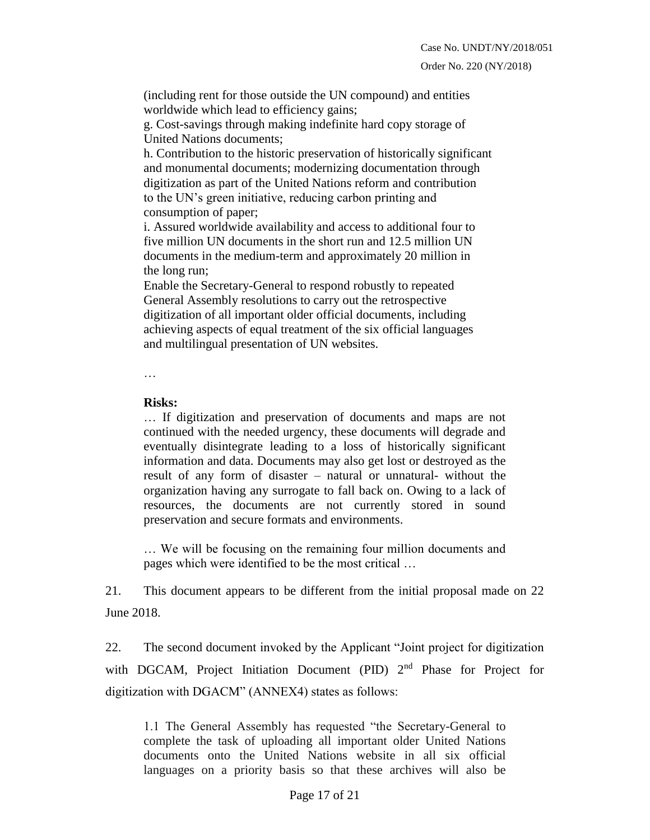Order No. 220 (NY/2018)

(including rent for those outside the UN compound) and entities worldwide which lead to efficiency gains;

g. Cost-savings through making indefinite hard copy storage of United Nations documents;

h. Contribution to the historic preservation of historically significant and monumental documents; modernizing documentation through digitization as part of the United Nations reform and contribution to the UN's green initiative, reducing carbon printing and consumption of paper;

i. Assured worldwide availability and access to additional four to five million UN documents in the short run and 12.5 million UN documents in the medium-term and approximately 20 million in the long run;

Enable the Secretary-General to respond robustly to repeated General Assembly resolutions to carry out the retrospective digitization of all important older official documents, including achieving aspects of equal treatment of the six official languages and multilingual presentation of UN websites.

…

### **Risks:**

… If digitization and preservation of documents and maps are not continued with the needed urgency, these documents will degrade and eventually disintegrate leading to a loss of historically significant information and data. Documents may also get lost or destroyed as the result of any form of disaster – natural or unnatural- without the organization having any surrogate to fall back on. Owing to a lack of resources, the documents are not currently stored in sound preservation and secure formats and environments.

… We will be focusing on the remaining four million documents and pages which were identified to be the most critical …

21. This document appears to be different from the initial proposal made on 22 June 2018.

22. The second document invoked by the Applicant "Joint project for digitization with DGCAM, Project Initiation Document (PID) 2<sup>nd</sup> Phase for Project for digitization with DGACM" (ANNEX4) states as follows:

1.1 The General Assembly has requested "the Secretary-General to complete the task of uploading all important older United Nations documents onto the United Nations website in all six official languages on a priority basis so that these archives will also be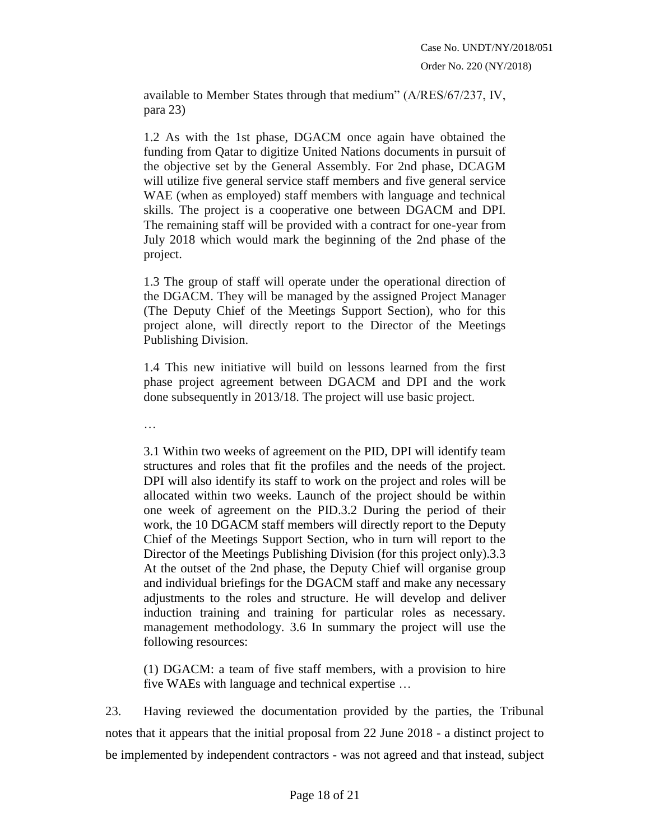available to Member States through that medium" (A/RES/67/237, IV, para 23)

1.2 As with the 1st phase, DGACM once again have obtained the funding from Qatar to digitize United Nations documents in pursuit of the objective set by the General Assembly. For 2nd phase, DCAGM will utilize five general service staff members and five general service WAE (when as employed) staff members with language and technical skills. The project is a cooperative one between DGACM and DPI. The remaining staff will be provided with a contract for one-year from July 2018 which would mark the beginning of the 2nd phase of the project.

1.3 The group of staff will operate under the operational direction of the DGACM. They will be managed by the assigned Project Manager (The Deputy Chief of the Meetings Support Section), who for this project alone, will directly report to the Director of the Meetings Publishing Division.

1.4 This new initiative will build on lessons learned from the first phase project agreement between DGACM and DPI and the work done subsequently in 2013/18. The project will use basic project.

…

3.1 Within two weeks of agreement on the PID, DPI will identify team structures and roles that fit the profiles and the needs of the project. DPI will also identify its staff to work on the project and roles will be allocated within two weeks. Launch of the project should be within one week of agreement on the PID.3.2 During the period of their work, the 10 DGACM staff members will directly report to the Deputy Chief of the Meetings Support Section, who in turn will report to the Director of the Meetings Publishing Division (for this project only).3.3 At the outset of the 2nd phase, the Deputy Chief will organise group and individual briefings for the DGACM staff and make any necessary adjustments to the roles and structure. He will develop and deliver induction training and training for particular roles as necessary. management methodology. 3.6 In summary the project will use the following resources:

(1) DGACM: a team of five staff members, with a provision to hire five WAEs with language and technical expertise …

23. Having reviewed the documentation provided by the parties, the Tribunal notes that it appears that the initial proposal from 22 June 2018 - a distinct project to be implemented by independent contractors - was not agreed and that instead, subject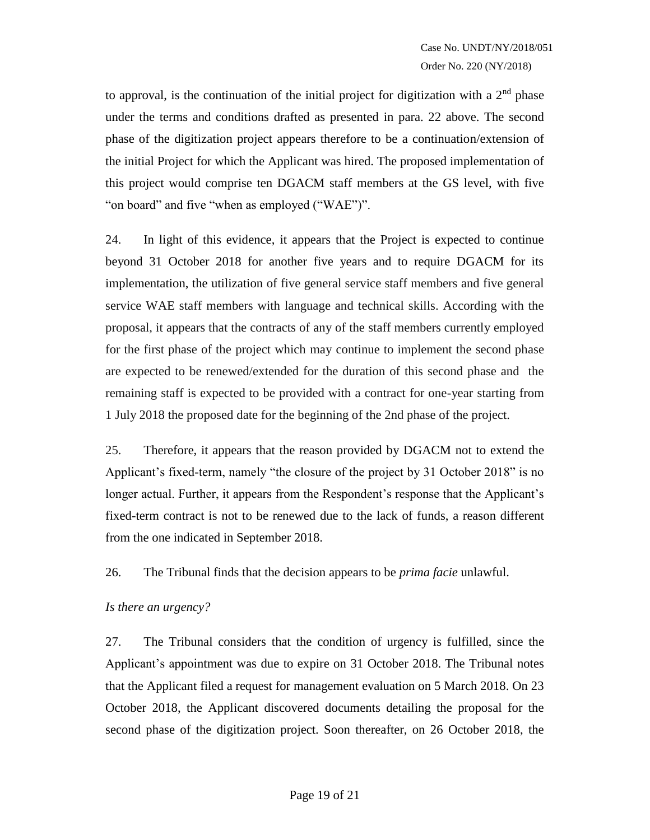to approval, is the continuation of the initial project for digitization with a  $2<sup>nd</sup>$  phase under the terms and conditions drafted as presented in para. 22 above. The second phase of the digitization project appears therefore to be a continuation/extension of the initial Project for which the Applicant was hired. The proposed implementation of this project would comprise ten DGACM staff members at the GS level, with five "on board" and five "when as employed ("WAE")".

24. In light of this evidence, it appears that the Project is expected to continue beyond 31 October 2018 for another five years and to require DGACM for its implementation, the utilization of five general service staff members and five general service WAE staff members with language and technical skills. According with the proposal, it appears that the contracts of any of the staff members currently employed for the first phase of the project which may continue to implement the second phase are expected to be renewed/extended for the duration of this second phase and the remaining staff is expected to be provided with a contract for one-year starting from 1 July 2018 the proposed date for the beginning of the 2nd phase of the project.

25. Therefore, it appears that the reason provided by DGACM not to extend the Applicant's fixed-term, namely "the closure of the project by 31 October 2018" is no longer actual. Further, it appears from the Respondent's response that the Applicant's fixed-term contract is not to be renewed due to the lack of funds, a reason different from the one indicated in September 2018.

26. The Tribunal finds that the decision appears to be *prima facie* unlawful.

### *Is there an urgency?*

27. The Tribunal considers that the condition of urgency is fulfilled, since the Applicant's appointment was due to expire on 31 October 2018. The Tribunal notes that the Applicant filed a request for management evaluation on 5 March 2018. On 23 October 2018, the Applicant discovered documents detailing the proposal for the second phase of the digitization project. Soon thereafter, on 26 October 2018, the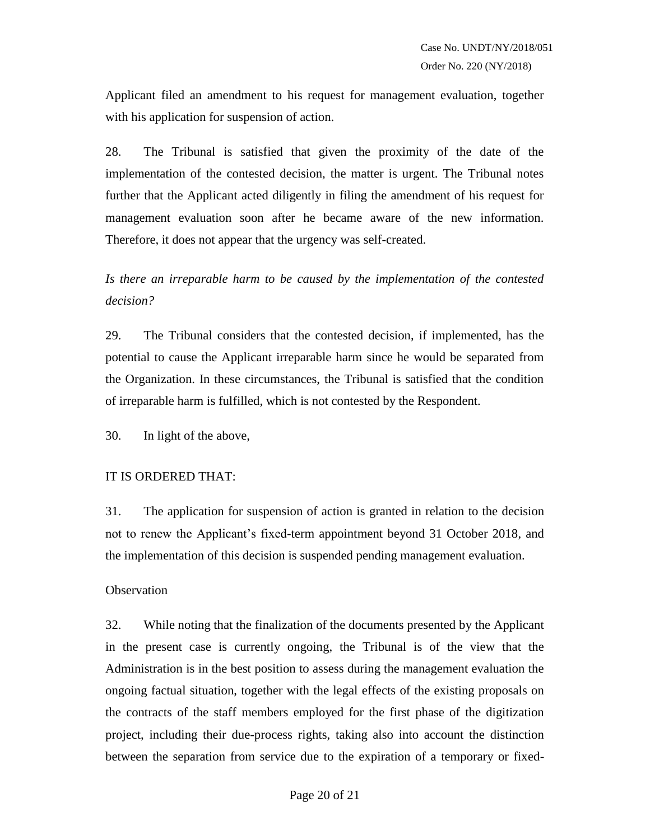Applicant filed an amendment to his request for management evaluation, together with his application for suspension of action.

28. The Tribunal is satisfied that given the proximity of the date of the implementation of the contested decision, the matter is urgent. The Tribunal notes further that the Applicant acted diligently in filing the amendment of his request for management evaluation soon after he became aware of the new information. Therefore, it does not appear that the urgency was self-created.

*Is there an irreparable harm to be caused by the implementation of the contested decision?*

29. The Tribunal considers that the contested decision, if implemented, has the potential to cause the Applicant irreparable harm since he would be separated from the Organization. In these circumstances, the Tribunal is satisfied that the condition of irreparable harm is fulfilled, which is not contested by the Respondent.

30. In light of the above,

#### IT IS ORDERED THAT:

31. The application for suspension of action is granted in relation to the decision not to renew the Applicant's fixed-term appointment beyond 31 October 2018, and the implementation of this decision is suspended pending management evaluation.

### **Observation**

32. While noting that the finalization of the documents presented by the Applicant in the present case is currently ongoing, the Tribunal is of the view that the Administration is in the best position to assess during the management evaluation the ongoing factual situation, together with the legal effects of the existing proposals on the contracts of the staff members employed for the first phase of the digitization project, including their due-process rights, taking also into account the distinction between the separation from service due to the expiration of a temporary or fixed